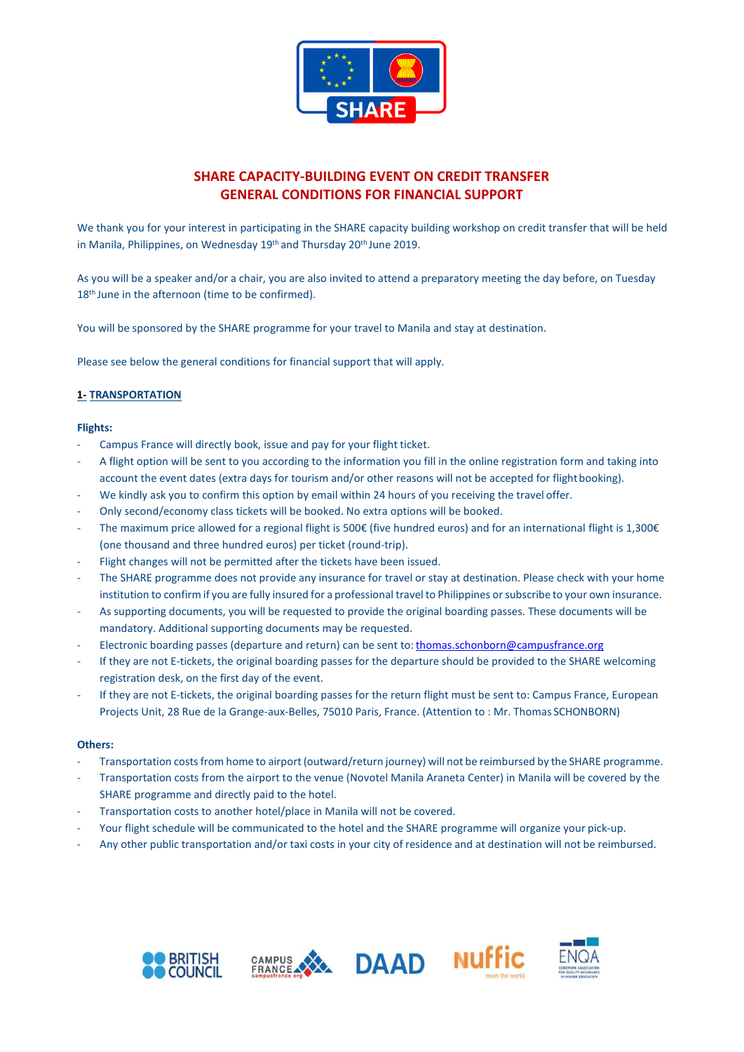

# **SHARE CAPACITY-BUILDING EVENT ON CREDIT TRANSFER GENERAL CONDITIONS FOR FINANCIAL SUPPORT**

We thank you for your interest in participating in the SHARE capacity building workshop on credit transfer that will be held in Manila, Philippines, on Wednesday 19<sup>th</sup> and Thursday 20<sup>th</sup> June 2019.

As you will be a speaker and/or a chair, you are also invited to attend a preparatory meeting the day before, on Tuesday 18<sup>th</sup> June in the afternoon (time to be confirmed).

You will be sponsored by the SHARE programme for your travel to Manila and stay at destination.

Please see below the general conditions for financial support that will apply.

### **1- TRANSPORTATION**

#### **Flights:**

- Campus France will directly book, issue and pay for your flight ticket.
- A flight option will be sent to you according to the information you fill in the online registration form and taking into account the event dates (extra days for tourism and/or other reasons will not be accepted for flightbooking).
- We kindly ask you to confirm this option by email within 24 hours of you receiving the travel offer.
- Only second/economy class tickets will be booked. No extra options will be booked.
- The maximum price allowed for a regional flight is 500 $\epsilon$  (five hundred euros) and for an international flight is 1,300 $\epsilon$ (one thousand and three hundred euros) per ticket (round-trip).
- Flight changes will not be permitted after the tickets have been issued.
- The SHARE programme does not provide any insurance for travel or stay at destination. Please check with your home institution to confirm if you are fully insured for a professional travelto Philippines orsubscribe to your own insurance.
- As supporting documents, you will be requested to provide the original boarding passes. These documents will be mandatory. Additional supporting documents may be requested.
- Electronic boarding passes (departure and return) can be sent to: thomas.schonborn@campusfrance.org
- If they are not E-tickets, the original boarding passes for the departure should be provided to the SHARE welcoming registration desk, on the first day of the event.
- If they are not E-tickets, the original boarding passes for the return flight must be sent to: Campus France, European Projects Unit, 28 Rue de la Grange-aux-Belles, 75010 Paris, France. (Attention to : Mr. Thomas SCHONBORN)

#### **Others:**

- Transportation costs from home to airport (outward/return journey) will not be reimbursed by the SHARE programme.
- Transportation costs from the airport to the venue (Novotel Manila Araneta Center) in Manila will be covered by the SHARE programme and directly paid to the hotel.
- Transportation costs to another hotel/place in Manila will not be covered.
- Your flight schedule will be communicated to the hotel and the SHARE programme will organize your pick-up.
- Any other public transportation and/or taxi costs in your city of residence and at destination will not be reimbursed.